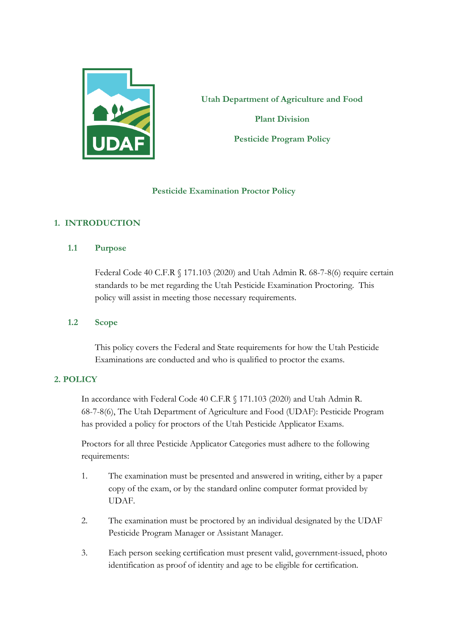

**Utah Department of Agriculture and Food Plant Division Pesticide Program Policy**

## **Pesticide Examination Proctor Policy**

# **1. INTRODUCTION**

**1.1 Purpose**

Federal Code 40 C.F.R § 171.103 (2020) and Utah Admin R. 68-7-8(6) require certain standards to be met regarding the Utah Pesticide Examination Proctoring. This policy will assist in meeting those necessary requirements.

## **1.2 Scope**

This policy covers the Federal and State requirements for how the Utah Pesticide Examinations are conducted and who is qualified to proctor the exams.

## **2. POLICY**

In accordance with Federal Code 40 C.F.R § 171.103 (2020) and Utah Admin R. 68-7-8(6), The Utah Department of Agriculture and Food (UDAF): Pesticide Program has provided a policy for proctors of the Utah Pesticide Applicator Exams.

Proctors for all three Pesticide Applicator Categories must adhere to the following requirements:

- 1. The examination must be presented and answered in writing, either by a paper copy of the exam, or by the standard online computer format provided by UDAF.
- 2. The examination must be proctored by an individual designated by the UDAF Pesticide Program Manager or Assistant Manager.
- 3. Each person seeking certification must present valid, government-issued, photo identification as proof of identity and age to be eligible for certification.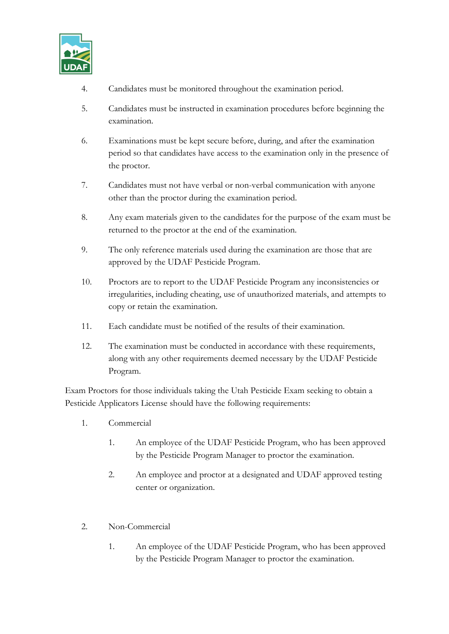

- 4. Candidates must be monitored throughout the examination period.
- 5. Candidates must be instructed in examination procedures before beginning the examination.
- 6. Examinations must be kept secure before, during, and after the examination period so that candidates have access to the examination only in the presence of the proctor.
- 7. Candidates must not have verbal or non-verbal communication with anyone other than the proctor during the examination period.
- 8. Any exam materials given to the candidates for the purpose of the exam must be returned to the proctor at the end of the examination.
- 9. The only reference materials used during the examination are those that are approved by the UDAF Pesticide Program.
- 10. Proctors are to report to the UDAF Pesticide Program any inconsistencies or irregularities, including cheating, use of unauthorized materials, and attempts to copy or retain the examination.
- 11. Each candidate must be notified of the results of their examination.
- 12. The examination must be conducted in accordance with these requirements, along with any other requirements deemed necessary by the UDAF Pesticide Program.

Exam Proctors for those individuals taking the Utah Pesticide Exam seeking to obtain a Pesticide Applicators License should have the following requirements:

- 1. Commercial
	- 1. An employee of the UDAF Pesticide Program, who has been approved by the Pesticide Program Manager to proctor the examination.
	- 2. An employee and proctor at a designated and UDAF approved testing center or organization.
- 2. Non-Commercial
	- 1. An employee of the UDAF Pesticide Program, who has been approved by the Pesticide Program Manager to proctor the examination.